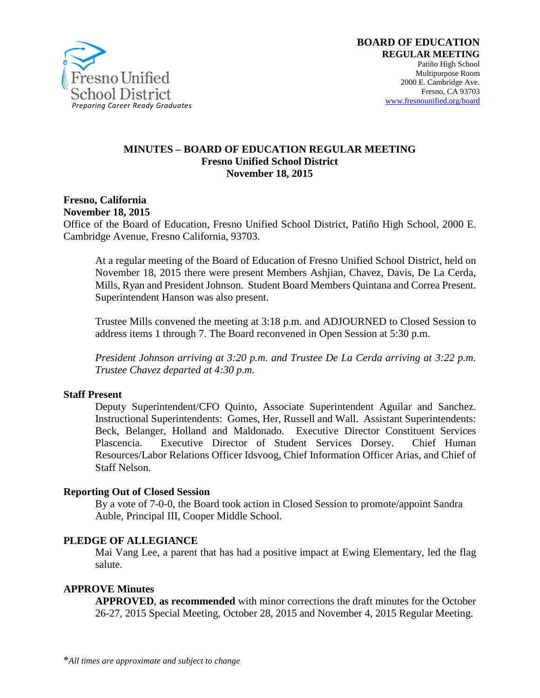

#### **MINUTES – BOARD OF EDUCATION REGULAR MEETING Fresno Unified School District November 18, 2015**

**Fresno, California November 18, 2015**

Office of the Board of Education, Fresno Unified School District, Patiño High School, 2000 E. Cambridge Avenue, Fresno California, 93703.

At a regular meeting of the Board of Education of Fresno Unified School District, held on November 18, 2015 there were present Members Ashjian, Chavez, Davis, De La Cerda, Mills, Ryan and President Johnson. Student Board Members Quintana and Correa Present. Superintendent Hanson was also present.

Trustee Mills convened the meeting at 3:18 p.m. and ADJOURNED to Closed Session to address items 1 through 7. The Board reconvened in Open Session at 5:30 p.m.

*President Johnson arriving at 3:20 p.m. and Trustee De La Cerda arriving at 3:22 p.m. Trustee Chavez departed at 4:30 p.m.*

#### **Staff Present**

Deputy Superintendent/CFO Quinto, Associate Superintendent Aguilar and Sanchez. Instructional Superintendents: Gomes, Her, Russell and Wall. Assistant Superintendents: Beck, Belanger, Holland and Maldonado. Executive Director Constituent Services Plascencia. Executive Director of Student Services Dorsey. Chief Human Resources/Labor Relations Officer Idsvoog, Chief Information Officer Arias, and Chief of Staff Nelson.

#### **Reporting Out of Closed Session**

By a vote of 7-0-0, the Board took action in Closed Session to promote/appoint Sandra Auble, Principal III, Cooper Middle School.

#### **PLEDGE OF ALLEGIANCE**

Mai Vang Lee, a parent that has had a positive impact at Ewing Elementary, led the flag salute.

#### **APPROVE Minutes**

**APPROVED**, **as recommended** with minor corrections the draft minutes for the October 26-27, 2015 Special Meeting, October 28, 2015 and November 4, 2015 Regular Meeting.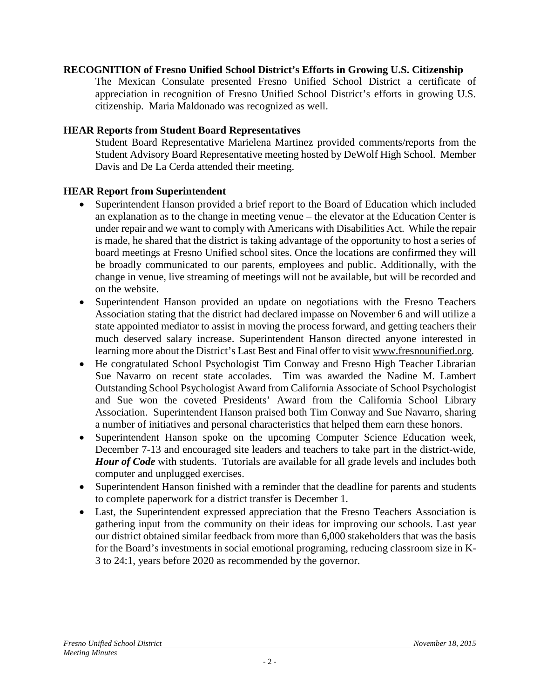#### **RECOGNITION of Fresno Unified School District's Efforts in Growing U.S. Citizenship**

The Mexican Consulate presented Fresno Unified School District a certificate of appreciation in recognition of Fresno Unified School District's efforts in growing U.S. citizenship. Maria Maldonado was recognized as well.

#### **HEAR Reports from Student Board Representatives**

Student Board Representative Marielena Martinez provided comments/reports from the Student Advisory Board Representative meeting hosted by DeWolf High School. Member Davis and De La Cerda attended their meeting.

#### **HEAR Report from Superintendent**

- Superintendent Hanson provided a brief report to the Board of Education which included an explanation as to the change in meeting venue – the elevator at the Education Center is under repair and we want to comply with Americans with Disabilities Act. While the repair is made, he shared that the district is taking advantage of the opportunity to host a series of board meetings at Fresno Unified school sites. Once the locations are confirmed they will be broadly communicated to our parents, employees and public. Additionally, with the change in venue, live streaming of meetings will not be available, but will be recorded and on the website.
- Superintendent Hanson provided an update on negotiations with the Fresno Teachers Association stating that the district had declared impasse on November 6 and will utilize a state appointed mediator to assist in moving the process forward, and getting teachers their much deserved salary increase. Superintendent Hanson directed anyone interested in learning more about the District's Last Best and Final offer to visit [www.fresnounified.org.](http://www.fresnounified.org/)
- He congratulated School Psychologist Tim Conway and Fresno High Teacher Librarian Sue Navarro on recent state accolades. Tim was awarded the Nadine M. Lambert Outstanding School Psychologist Award from California Associate of School Psychologist and Sue won the coveted Presidents' Award from the California School Library Association. Superintendent Hanson praised both Tim Conway and Sue Navarro, sharing a number of initiatives and personal characteristics that helped them earn these honors.
- Superintendent Hanson spoke on the upcoming Computer Science Education week, December 7-13 and encouraged site leaders and teachers to take part in the district-wide, *[Hour of Code](https://vimeo.com/146164809?ref=tw-share)* with students. Tutorials are available for all grade levels and includes both computer and unplugged exercises.
- Superintendent Hanson finished with a reminder that the deadline for parents and students to complete paperwork for a [district transfer](https://vimeo.com/146058871) is December 1.
- Last, the Superintendent expressed appreciation that the Fresno Teachers Association is gathering input from the community on their ideas for improving our schools. Last year our district obtained similar feedback from more than 6,000 stakeholders that was the basis for the Board's investments in social emotional programing, reducing classroom size in K-3 to 24:1, years before 2020 as recommended by the governor.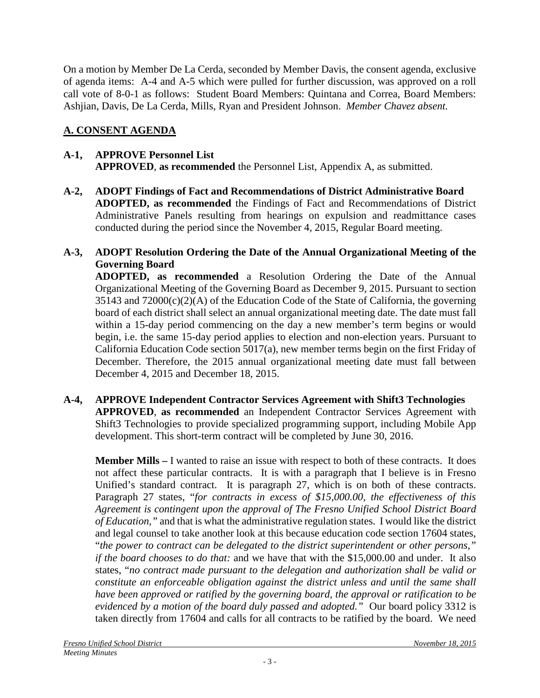On a motion by Member De La Cerda, seconded by Member Davis, the consent agenda, exclusive of agenda items: A-4 and A-5 which were pulled for further discussion, was approved on a roll call vote of 8-0-1 as follows: Student Board Members: Quintana and Correa, Board Members: Ashjian, Davis, De La Cerda, Mills, Ryan and President Johnson. *Member Chavez absent.*

# **A. CONSENT AGENDA**

# **A-1, APPROVE Personnel List APPROVED**, **as recommended** the Personnel List, Appendix A, as submitted.

**A-2, ADOPT Findings of Fact and Recommendations of District Administrative Board ADOPTED, as recommended** the Findings of Fact and Recommendations of District Administrative Panels resulting from hearings on expulsion and readmittance cases conducted during the period since the November 4, 2015, Regular Board meeting.

# **A-3, ADOPT Resolution Ordering the Date of the Annual Organizational Meeting of the Governing Board**

**ADOPTED, as recommended** a Resolution Ordering the Date of the Annual Organizational Meeting of the Governing Board as December 9, 2015. Pursuant to section  $35143$  and  $72000(c)(2)(A)$  of the Education Code of the State of California, the governing board of each district shall select an annual organizational meeting date. The date must fall within a 15-day period commencing on the day a new member's term begins or would begin, i.e. the same 15-day period applies to election and non-election years. Pursuant to California Education Code section 5017(a), new member terms begin on the first Friday of December. Therefore, the 2015 annual organizational meeting date must fall between December 4, 2015 and December 18, 2015.

### **A-4, APPROVE Independent Contractor Services Agreement with Shift3 Technologies APPROVED**, **as recommended** an Independent Contractor Services Agreement with Shift3 Technologies to provide specialized programming support, including Mobile App development. This short-term contract will be completed by June 30, 2016.

**Member Mills –** I wanted to raise an issue with respect to both of these contracts. It does not affect these particular contracts. It is with a paragraph that I believe is in Fresno Unified's standard contract. It is paragraph 27, which is on both of these contracts. Paragraph 27 states, "*for contracts in excess of \$15,000.00, the effectiveness of this Agreement is contingent upon the approval of The Fresno Unified School District Board of Education,"* and that is what the administrative regulation states. I would like the district and legal counsel to take another look at this because education code section 17604 states, "*the power to contract can be delegated to the district superintendent or other persons," if the board chooses to do that:* and we have that with the \$15,000.00 and under. It also states, "*no contract made pursuant to the delegation and authorization shall be valid or constitute an enforceable obligation against the district unless and until the same shall have been approved or ratified by the governing board, the approval or ratification to be evidenced by a motion of the board duly passed and adopted."* Our board policy 3312 is taken directly from 17604 and calls for all contracts to be ratified by the board. We need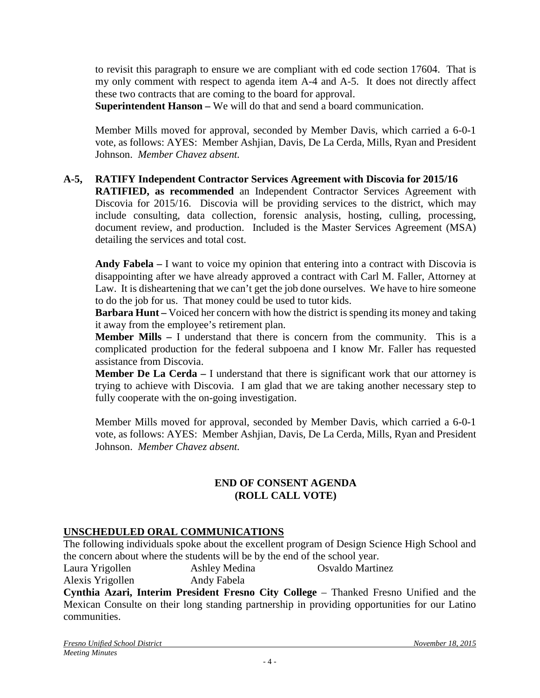to revisit this paragraph to ensure we are compliant with ed code section 17604. That is my only comment with respect to agenda item A-4 and A-5. It does not directly affect these two contracts that are coming to the board for approval.

**Superintendent Hanson –** We will do that and send a board communication.

Member Mills moved for approval, seconded by Member Davis, which carried a 6-0-1 vote, as follows: AYES: Member Ashjian, Davis, De La Cerda, Mills, Ryan and President Johnson. *Member Chavez absent.*

### **A-5, RATIFY Independent Contractor Services Agreement with Discovia for 2015/16**

**RATIFIED, as recommended** an Independent Contractor Services Agreement with Discovia for 2015/16. Discovia will be providing services to the district, which may include consulting, data collection, forensic analysis, hosting, culling, processing, document review, and production. Included is the Master Services Agreement (MSA) detailing the services and total cost.

**Andy Fabela –** I want to voice my opinion that entering into a contract with Discovia is disappointing after we have already approved a contract with Carl M. Faller, Attorney at Law. It is disheartening that we can't get the job done ourselves. We have to hire someone to do the job for us. That money could be used to tutor kids.

**Barbara Hunt** – Voiced her concern with how the district is spending its money and taking it away from the employee's retirement plan.

**Member Mills –** I understand that there is concern from the community. This is a complicated production for the federal subpoena and I know Mr. Faller has requested assistance from Discovia.

**Member De La Cerda** – I understand that there is significant work that our attorney is trying to achieve with Discovia. I am glad that we are taking another necessary step to fully cooperate with the on-going investigation.

Member Mills moved for approval, seconded by Member Davis, which carried a 6-0-1 vote, as follows: AYES: Member Ashjian, Davis, De La Cerda, Mills, Ryan and President Johnson. *Member Chavez absent.*

### **END OF CONSENT AGENDA (ROLL CALL VOTE)**

# **UNSCHEDULED ORAL COMMUNICATIONS**

The following individuals spoke about the excellent program of Design Science High School and the concern about where the students will be by the end of the school year.

Laura Yrigollen Ashley Medina Osvaldo Martinez Alexis Yrigollen Andy Fabela

**Cynthia Azari, Interim President Fresno City College** – Thanked Fresno Unified and the Mexican Consulte on their long standing partnership in providing opportunities for our Latino communities.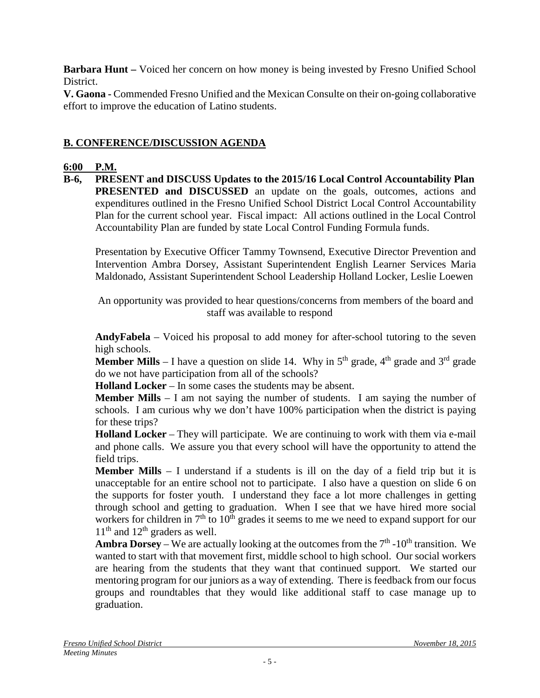**Barbara Hunt –** Voiced her concern on how money is being invested by Fresno Unified School District.

**V. Gaona -** Commended Fresno Unified and the Mexican Consulte on their on-going collaborative effort to improve the education of Latino students.

# **B. CONFERENCE/DISCUSSION AGENDA**

# **6:00 P.M.**

**B-6, PRESENT and DISCUSS Updates to the 2015/16 Local Control Accountability Plan PRESENTED** and **DISCUSSED** an update on the goals, outcomes, actions and expenditures outlined in the Fresno Unified School District Local Control Accountability Plan for the current school year. Fiscal impact: All actions outlined in the Local Control Accountability Plan are funded by state Local Control Funding Formula funds.

Presentation by Executive Officer Tammy Townsend, Executive Director Prevention and Intervention Ambra Dorsey, Assistant Superintendent English Learner Services Maria Maldonado, Assistant Superintendent School Leadership Holland Locker, Leslie Loewen

An opportunity was provided to hear questions/concerns from members of the board and staff was available to respond

**AndyFabela** – Voiced his proposal to add money for after-school tutoring to the seven high schools.

**Member Mills** – I have a question on slide 14. Why in  $5<sup>th</sup>$  grade,  $4<sup>th</sup>$  grade and  $3<sup>rd</sup>$  grade do we not have participation from all of the schools?

**Holland Locker** – In some cases the students may be absent.

**Member Mills**  $-1$  am not saying the number of students. I am saying the number of schools. I am curious why we don't have 100% participation when the district is paying for these trips?

**Holland Locker** – They will participate. We are continuing to work with them via e-mail and phone calls. We assure you that every school will have the opportunity to attend the field trips.

**Member Mills** – I understand if a students is ill on the day of a field trip but it is unacceptable for an entire school not to participate. I also have a question on slide 6 on the supports for foster youth. I understand they face a lot more challenges in getting through school and getting to graduation. When I see that we have hired more social workers for children in  $7<sup>th</sup>$  to  $10<sup>th</sup>$  grades it seems to me we need to expand support for our  $11<sup>th</sup>$  and  $12<sup>th</sup>$  graders as well.

**Ambra Dorsey** – We are actually looking at the outcomes from the  $7<sup>th</sup>$  -10<sup>th</sup> transition. We wanted to start with that movement first, middle school to high school. Our social workers are hearing from the students that they want that continued support. We started our mentoring program for our juniors as a way of extending. There is feedback from our focus groups and roundtables that they would like additional staff to case manage up to graduation.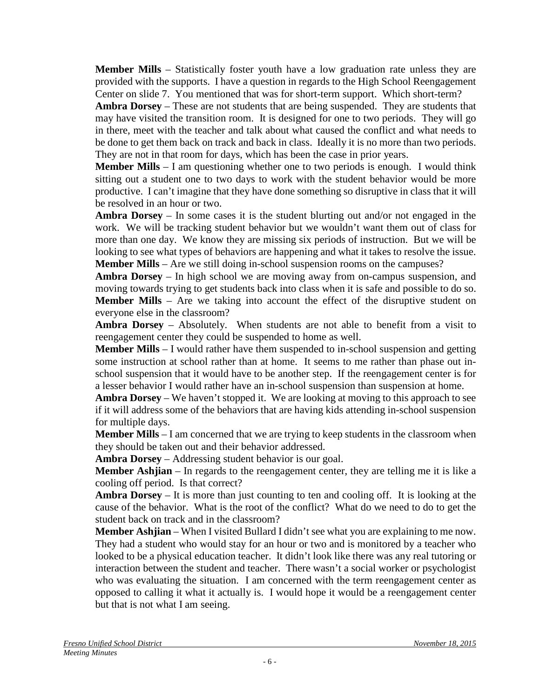**Member Mills** – Statistically foster youth have a low graduation rate unless they are provided with the supports. I have a question in regards to the High School Reengagement Center on slide 7. You mentioned that was for short-term support. Which short-term?

**Ambra Dorsey** – These are not students that are being suspended. They are students that may have visited the transition room. It is designed for one to two periods. They will go in there, meet with the teacher and talk about what caused the conflict and what needs to be done to get them back on track and back in class. Ideally it is no more than two periods. They are not in that room for days, which has been the case in prior years.

**Member Mills** – I am questioning whether one to two periods is enough. I would think sitting out a student one to two days to work with the student behavior would be more productive. I can't imagine that they have done something so disruptive in class that it will be resolved in an hour or two.

**Ambra Dorsey** – In some cases it is the student blurting out and/or not engaged in the work. We will be tracking student behavior but we wouldn't want them out of class for more than one day. We know they are missing six periods of instruction. But we will be looking to see what types of behaviors are happening and what it takes to resolve the issue. **Member Mills** – Are we still doing in-school suspension rooms on the campuses?

**Ambra Dorsey** – In high school we are moving away from on-campus suspension, and moving towards trying to get students back into class when it is safe and possible to do so. **Member Mills** – Are we taking into account the effect of the disruptive student on everyone else in the classroom?

**Ambra Dorsey** – Absolutely. When students are not able to benefit from a visit to reengagement center they could be suspended to home as well.

**Member Mills** – I would rather have them suspended to in-school suspension and getting some instruction at school rather than at home. It seems to me rather than phase out inschool suspension that it would have to be another step. If the reengagement center is for a lesser behavior I would rather have an in-school suspension than suspension at home.

**Ambra Dorsey** – We haven't stopped it. We are looking at moving to this approach to see if it will address some of the behaviors that are having kids attending in-school suspension for multiple days.

**Member Mills** – I am concerned that we are trying to keep students in the classroom when they should be taken out and their behavior addressed.

**Ambra Dorsey** – Addressing student behavior is our goal.

**Member Ashjian** – In regards to the reengagement center, they are telling me it is like a cooling off period. Is that correct?

**Ambra Dorsey** – It is more than just counting to ten and cooling off. It is looking at the cause of the behavior. What is the root of the conflict? What do we need to do to get the student back on track and in the classroom?

**Member Ashjian** – When I visited Bullard I didn't see what you are explaining to me now. They had a student who would stay for an hour or two and is monitored by a teacher who looked to be a physical education teacher. It didn't look like there was any real tutoring or interaction between the student and teacher. There wasn't a social worker or psychologist who was evaluating the situation. I am concerned with the term reengagement center as opposed to calling it what it actually is. I would hope it would be a reengagement center but that is not what I am seeing.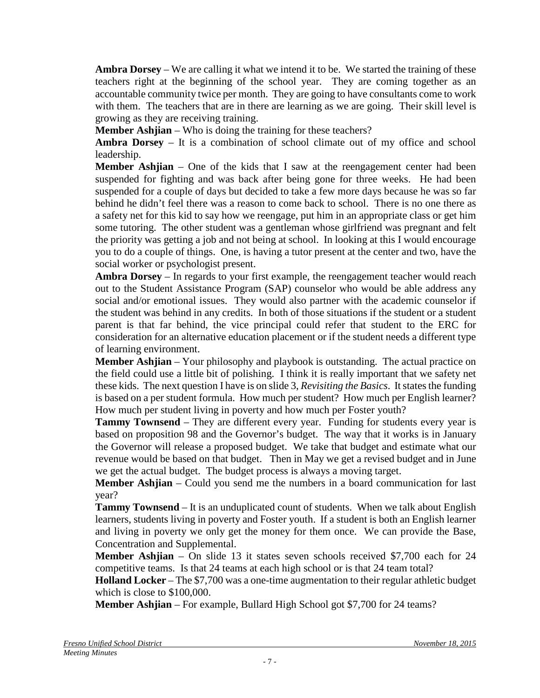**Ambra Dorsey** – We are calling it what we intend it to be. We started the training of these teachers right at the beginning of the school year. They are coming together as an accountable community twice per month. They are going to have consultants come to work with them. The teachers that are in there are learning as we are going. Their skill level is growing as they are receiving training.

**Member Ashjian** – Who is doing the training for these teachers?

**Ambra Dorsey** – It is a combination of school climate out of my office and school leadership.

**Member Ashjian** – One of the kids that I saw at the reengagement center had been suspended for fighting and was back after being gone for three weeks. He had been suspended for a couple of days but decided to take a few more days because he was so far behind he didn't feel there was a reason to come back to school. There is no one there as a safety net for this kid to say how we reengage, put him in an appropriate class or get him some tutoring. The other student was a gentleman whose girlfriend was pregnant and felt the priority was getting a job and not being at school. In looking at this I would encourage you to do a couple of things. One, is having a tutor present at the center and two, have the social worker or psychologist present.

**Ambra Dorsey** – In regards to your first example, the reengagement teacher would reach out to the Student Assistance Program (SAP) counselor who would be able address any social and/or emotional issues. They would also partner with the academic counselor if the student was behind in any credits. In both of those situations if the student or a student parent is that far behind, the vice principal could refer that student to the ERC for consideration for an alternative education placement or if the student needs a different type of learning environment.

**Member Ashijan** – Your philosophy and playbook is outstanding. The actual practice on the field could use a little bit of polishing. I think it is really important that we safety net these kids. The next question I have is on slide 3, *Revisiting the Basics*. It states the funding is based on a per student formula. How much per student? How much per English learner? How much per student living in poverty and how much per Foster youth?

**Tammy Townsend** – They are different every year. Funding for students every year is based on proposition 98 and the Governor's budget. The way that it works is in January the Governor will release a proposed budget. We take that budget and estimate what our revenue would be based on that budget. Then in May we get a revised budget and in June we get the actual budget. The budget process is always a moving target.

**Member Ashjian** – Could you send me the numbers in a board communication for last year?

**Tammy Townsend** – It is an unduplicated count of students. When we talk about English learners, students living in poverty and Foster youth. If a student is both an English learner and living in poverty we only get the money for them once. We can provide the Base, Concentration and Supplemental.

**Member Ashjian** – On slide 13 it states seven schools received \$7,700 each for 24 competitive teams. Is that 24 teams at each high school or is that 24 team total?

**Holland Locker** – The \$7,700 was a one-time augmentation to their regular athletic budget which is close to \$100,000.

**Member Ashjian** – For example, Bullard High School got \$7,700 for 24 teams?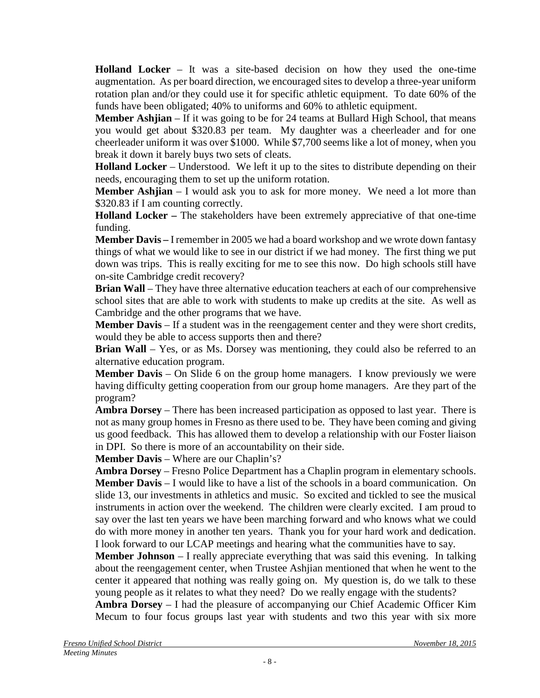**Holland Locker** – It was a site-based decision on how they used the one-time augmentation. As per board direction, we encouraged sites to develop a three-year uniform rotation plan and/or they could use it for specific athletic equipment. To date 60% of the funds have been obligated; 40% to uniforms and 60% to athletic equipment.

**Member Ashjian** – If it was going to be for 24 teams at Bullard High School, that means you would get about \$320.83 per team. My daughter was a cheerleader and for one cheerleader uniform it was over \$1000. While \$7,700 seems like a lot of money, when you break it down it barely buys two sets of cleats.

**Holland Locker** – Understood. We left it up to the sites to distribute depending on their needs, encouraging them to set up the uniform rotation.

**Member Ashjian** – I would ask you to ask for more money. We need a lot more than \$320.83 if I am counting correctly.

**Holland Locker –** The stakeholders have been extremely appreciative of that one-time funding.

**Member Davis –** I remember in 2005 we had a board workshop and we wrote down fantasy things of what we would like to see in our district if we had money. The first thing we put down was trips. This is really exciting for me to see this now. Do high schools still have on-site Cambridge credit recovery?

**Brian Wall** – They have three alternative education teachers at each of our comprehensive school sites that are able to work with students to make up credits at the site. As well as Cambridge and the other programs that we have.

**Member Davis** – If a student was in the reengagement center and they were short credits, would they be able to access supports then and there?

**Brian Wall** – Yes, or as Ms. Dorsey was mentioning, they could also be referred to an alternative education program.

**Member Davis** – On Slide 6 on the group home managers. I know previously we were having difficulty getting cooperation from our group home managers. Are they part of the program?

**Ambra Dorsey** – There has been increased participation as opposed to last year. There is not as many group homes in Fresno as there used to be. They have been coming and giving us good feedback. This has allowed them to develop a relationship with our Foster liaison in DPI. So there is more of an accountability on their side.

**Member Davis** – Where are our Chaplin's?

**Ambra Dorsey** – Fresno Police Department has a Chaplin program in elementary schools. **Member Davis** – I would like to have a list of the schools in a board communication. On slide 13, our investments in athletics and music. So excited and tickled to see the musical instruments in action over the weekend. The children were clearly excited. I am proud to say over the last ten years we have been marching forward and who knows what we could do with more money in another ten years. Thank you for your hard work and dedication. I look forward to our LCAP meetings and hearing what the communities have to say.

**Member Johnson** – I really appreciate everything that was said this evening. In talking about the reengagement center, when Trustee Ashjian mentioned that when he went to the center it appeared that nothing was really going on. My question is, do we talk to these young people as it relates to what they need? Do we really engage with the students?

**Ambra Dorsey** – I had the pleasure of accompanying our Chief Academic Officer Kim Mecum to four focus groups last year with students and two this year with six more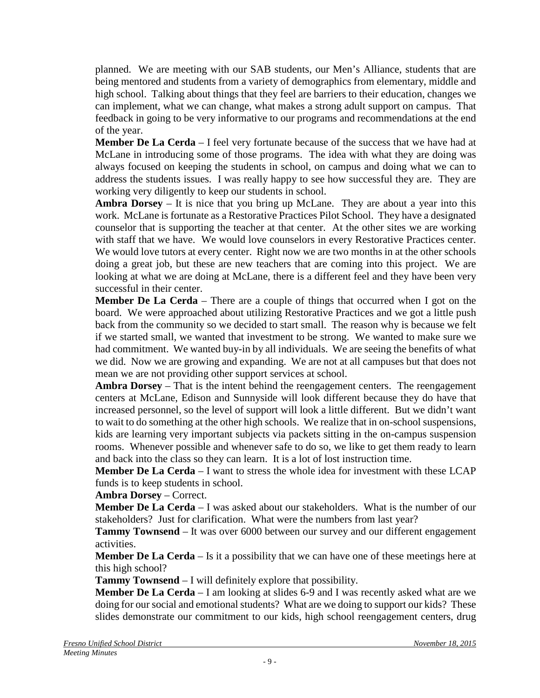planned. We are meeting with our SAB students, our Men's Alliance, students that are being mentored and students from a variety of demographics from elementary, middle and high school. Talking about things that they feel are barriers to their education, changes we can implement, what we can change, what makes a strong adult support on campus. That feedback in going to be very informative to our programs and recommendations at the end of the year.

**Member De La Cerda** – I feel very fortunate because of the success that we have had at McLane in introducing some of those programs. The idea with what they are doing was always focused on keeping the students in school, on campus and doing what we can to address the students issues. I was really happy to see how successful they are. They are working very diligently to keep our students in school.

**Ambra Dorsey** – It is nice that you bring up McLane. They are about a year into this work. McLane is fortunate as a Restorative Practices Pilot School. They have a designated counselor that is supporting the teacher at that center. At the other sites we are working with staff that we have. We would love counselors in every Restorative Practices center. We would love tutors at every center. Right now we are two months in at the other schools doing a great job, but these are new teachers that are coming into this project. We are looking at what we are doing at McLane, there is a different feel and they have been very successful in their center.

**Member De La Cerda** – There are a couple of things that occurred when I got on the board. We were approached about utilizing Restorative Practices and we got a little push back from the community so we decided to start small. The reason why is because we felt if we started small, we wanted that investment to be strong. We wanted to make sure we had commitment. We wanted buy-in by all individuals. We are seeing the benefits of what we did. Now we are growing and expanding. We are not at all campuses but that does not mean we are not providing other support services at school.

**Ambra Dorsey** – That is the intent behind the reengagement centers. The reengagement centers at McLane, Edison and Sunnyside will look different because they do have that increased personnel, so the level of support will look a little different. But we didn't want to wait to do something at the other high schools. We realize that in on-school suspensions, kids are learning very important subjects via packets sitting in the on-campus suspension rooms. Whenever possible and whenever safe to do so, we like to get them ready to learn and back into the class so they can learn. It is a lot of lost instruction time.

**Member De La Cerda** – I want to stress the whole idea for investment with these LCAP funds is to keep students in school.

**Ambra Dorsey** – Correct.

**Member De La Cerda** – I was asked about our stakeholders. What is the number of our stakeholders? Just for clarification. What were the numbers from last year?

**Tammy Townsend** – It was over 6000 between our survey and our different engagement activities.

**Member De La Cerda** – Is it a possibility that we can have one of these meetings here at this high school?

**Tammy Townsend** – I will definitely explore that possibility.

**Member De La Cerda** – I am looking at slides 6-9 and I was recently asked what are we doing for our social and emotional students? What are we doing to support our kids? These slides demonstrate our commitment to our kids, high school reengagement centers, drug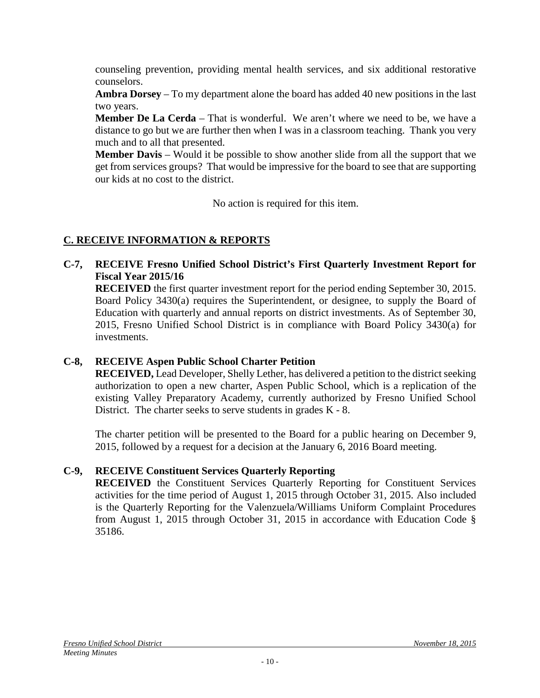counseling prevention, providing mental health services, and six additional restorative counselors.

**Ambra Dorsey** – To my department alone the board has added 40 new positions in the last two years.

**Member De La Cerda** – That is wonderful. We aren't where we need to be, we have a distance to go but we are further then when I was in a classroom teaching. Thank you very much and to all that presented.

**Member Davis** – Would it be possible to show another slide from all the support that we get from services groups? That would be impressive for the board to see that are supporting our kids at no cost to the district.

No action is required for this item.

# **C. RECEIVE INFORMATION & REPORTS**

**C-7, RECEIVE Fresno Unified School District's First Quarterly Investment Report for Fiscal Year 2015/16**

**RECEIVED** the first quarter investment report for the period ending September 30, 2015. Board Policy 3430(a) requires the Superintendent, or designee, to supply the Board of Education with quarterly and annual reports on district investments. As of September 30, 2015, Fresno Unified School District is in compliance with Board Policy 3430(a) for investments.

### **C-8, RECEIVE Aspen Public School Charter Petition**

**RECEIVED,** Lead Developer, Shelly Lether, has delivered a petition to the district seeking authorization to open a new charter, Aspen Public School, which is a replication of the existing Valley Preparatory Academy, currently authorized by Fresno Unified School District. The charter seeks to serve students in grades K - 8.

The charter petition will be presented to the Board for a public hearing on December 9, 2015, followed by a request for a decision at the January 6, 2016 Board meeting.

### **C-9, RECEIVE Constituent Services Quarterly Reporting**

**RECEIVED** the Constituent Services Quarterly Reporting for Constituent Services activities for the time period of August 1, 2015 through October 31, 2015. Also included is the Quarterly Reporting for the Valenzuela/Williams Uniform Complaint Procedures from August 1, 2015 through October 31, 2015 in accordance with Education Code § 35186.